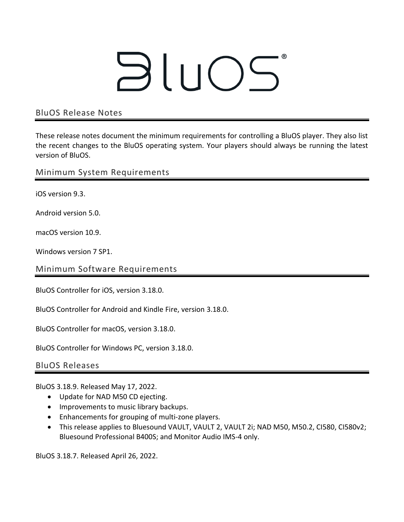## BluOS

## BluOS Release Notes

These release notes document the minimum requirements for controlling a BluOS player. They also list the recent changes to the BluOS operating system. Your players should always be running the latest version of BluOS.

Minimum System Requirements

iOS version 9.3.

Android version 5.0.

macOS version 10.9.

Windows version 7 SP1.

Minimum Software Requirements

BluOS Controller for iOS, version 3.18.0.

BluOS Controller for Android and Kindle Fire, version 3.18.0.

BluOS Controller for macOS, version 3.18.0.

BluOS Controller for Windows PC, version 3.18.0.

BluOS Releases

BluOS 3.18.9. Released May 17, 2022.

- Update for NAD M50 CD ejecting.
- Improvements to music library backups.
- Enhancements for grouping of multi-zone players.
- This release applies to Bluesound VAULT, VAULT 2, VAULT 2i; NAD M50, M50.2, CI580, CI580v2; Bluesound Professional B400S; and Monitor Audio IMS-4 only.

BluOS 3.18.7. Released April 26, 2022.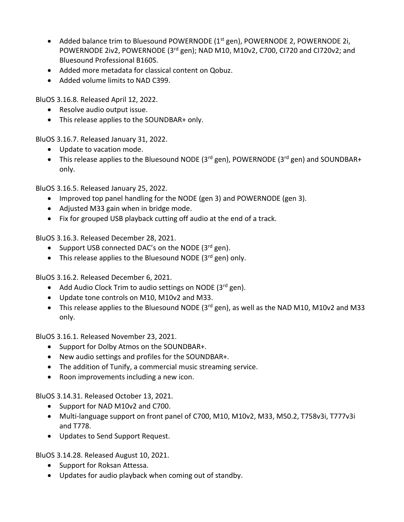- Added balance trim to Bluesound POWERNODE (1<sup>st</sup> gen), POWERNODE 2, POWERNODE 2i, POWERNODE 2iv2, POWERNODE (3<sup>rd</sup> gen); NAD M10, M10v2, C700, CI720 and CI720v2; and Bluesound Professional B160S.
- Added more metadata for classical content on Qobuz.
- Added volume limits to NAD C399.

BluOS 3.16.8. Released April 12, 2022.

- Resolve audio output issue.
- This release applies to the SOUNDBAR+ only.

BluOS 3.16.7. Released January 31, 2022.

- Update to vacation mode.
- This release applies to the Bluesound NODE ( $3<sup>rd</sup>$  gen), POWERNODE ( $3<sup>rd</sup>$  gen) and SOUNDBAR+ only.

BluOS 3.16.5. Released January 25, 2022.

- Improved top panel handling for the NODE (gen 3) and POWERNODE (gen 3).
- Adjusted M33 gain when in bridge mode.
- Fix for grouped USB playback cutting off audio at the end of a track.

BluOS 3.16.3. Released December 28, 2021.

- Support USB connected DAC's on the NODE  $(3^{rd}$  gen).
- This release applies to the Bluesound NODE  $(3^{rd}$  gen) only.

BluOS 3.16.2. Released December 6, 2021.

- Add Audio Clock Trim to audio settings on NODE ( $3<sup>rd</sup>$  gen).
- Update tone controls on M10, M10v2 and M33.
- This release applies to the Bluesound NODE (3<sup>rd</sup> gen), as well as the NAD M10, M10v2 and M33 only.

BluOS 3.16.1. Released November 23, 2021.

- Support for Dolby Atmos on the SOUNDBAR+.
- New audio settings and profiles for the SOUNDBAR+.
- The addition of Tunify, a commercial music streaming service.
- Roon improvements including a new icon.

BluOS 3.14.31. Released October 13, 2021.

- Support for NAD M10v2 and C700.
- Multi-language support on front panel of C700, M10, M10v2, M33, M50.2, T758v3i, T777v3i and T778.
- Updates to Send Support Request.

BluOS 3.14.28. Released August 10, 2021.

- Support for Roksan Attessa.
- Updates for audio playback when coming out of standby.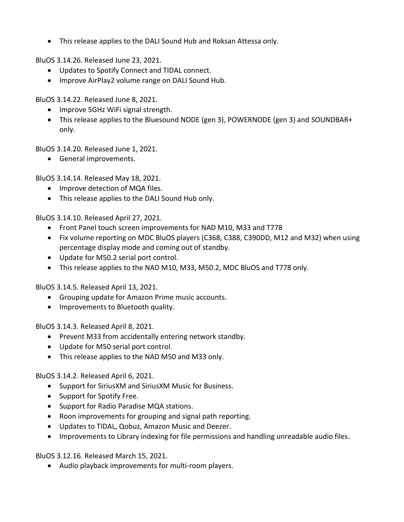• This release applies to the DALI Sound Hub and Roksan Attessa only.

BluOS 3.14.26. Released June 23, 2021.

- Updates to Spotify Connect and TIDAL connect.
- Improve AirPlay2 volume range on DALI Sound Hub.

BluOS 3.14.22. Released June 8, 2021.

- Improve 5GHz WiFi signal strength.
- This release applies to the Bluesound NODE (gen 3), POWERNODE (gen 3) and SOUNDBAR+ only.

BluOS 3.14.20. Released June 1, 2021.

• General improvements.

BluOS 3.14.14. Released May 18, 2021.

- Improve detection of MQA files.
- This release applies to the DALI Sound Hub only.

BluOS 3.14.10. Released April 27, 2021.

- Front Panel touch screen improvements for NAD M10, M33 and T778
- Fix volume reporting on MDC BluOS players (C368, C388, C390DD, M12 and M32) when using percentage display mode and coming out of standby.
- Update for M50.2 serial port control.
- This release applies to the NAD M10, M33, M50.2, MDC BluOS and T778 only.

BluOS 3.14.5. Released April 13, 2021.

- Grouping update for Amazon Prime music accounts.
- Improvements to Bluetooth quality.

BluOS 3.14.3. Released April 8, 2021.

- Prevent M33 from accidentally entering network standby.
- Update for M50 serial port control.
- This release applies to the NAD M50 and M33 only.

BluOS 3.14.2. Released April 6, 2021.

- Support for SiriusXM and SiriusXM Music for Business.
- Support for Spotify Free.
- Support for Radio Paradise MQA stations.
- Roon improvements for grouping and signal path reporting.
- Updates to TIDAL, Qobuz, Amazon Music and Deezer.
- Improvements to Library indexing for file permissions and handling unreadable audio files.

BluOS 3.12.16. Released March 15, 2021.

• Audio playback improvements for multi-room players.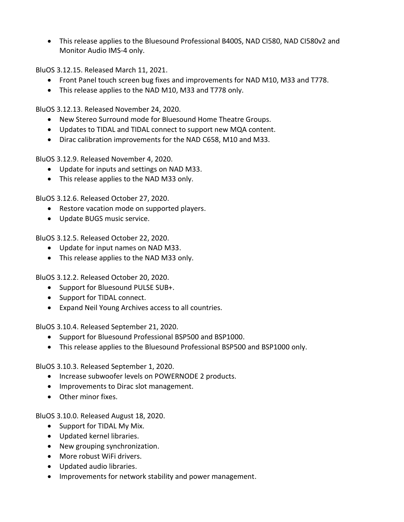• This release applies to the Bluesound Professional B400S, NAD CI580, NAD CI580v2 and Monitor Audio IMS-4 only.

BluOS 3.12.15. Released March 11, 2021.

- Front Panel touch screen bug fixes and improvements for NAD M10, M33 and T778.
- This release applies to the NAD M10, M33 and T778 only.

BluOS 3.12.13. Released November 24, 2020.

- New Stereo Surround mode for Bluesound Home Theatre Groups.
- Updates to TIDAL and TIDAL connect to support new MQA content.
- Dirac calibration improvements for the NAD C658, M10 and M33.

BluOS 3.12.9. Released November 4, 2020.

- Update for inputs and settings on NAD M33.
- This release applies to the NAD M33 only.

BluOS 3.12.6. Released October 27, 2020.

- Restore vacation mode on supported players.
- Update BUGS music service.

BluOS 3.12.5. Released October 22, 2020.

- Update for input names on NAD M33.
- This release applies to the NAD M33 only.

BluOS 3.12.2. Released October 20, 2020.

- Support for Bluesound PULSE SUB+.
- Support for TIDAL connect.
- Expand Neil Young Archives access to all countries.

BluOS 3.10.4. Released September 21, 2020.

- Support for Bluesound Professional BSP500 and BSP1000.
- This release applies to the Bluesound Professional BSP500 and BSP1000 only.

BluOS 3.10.3. Released September 1, 2020.

- Increase subwoofer levels on POWERNODE 2 products.
- Improvements to Dirac slot management.
- Other minor fixes.

BluOS 3.10.0. Released August 18, 2020.

- Support for TIDAL My Mix.
- Updated kernel libraries.
- New grouping synchronization.
- More robust WiFi drivers.
- Updated audio libraries.
- Improvements for network stability and power management.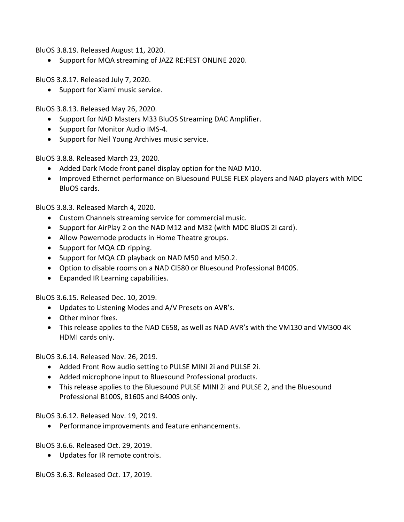BluOS 3.8.19. Released August 11, 2020.

• Support for MQA streaming of JAZZ RE:FEST ONLINE 2020.

BluOS 3.8.17. Released July 7, 2020.

• Support for Xiami music service.

BluOS 3.8.13. Released May 26, 2020.

- Support for NAD Masters M33 BluOS Streaming DAC Amplifier.
- Support for Monitor Audio IMS-4.
- Support for Neil Young Archives music service.

BluOS 3.8.8. Released March 23, 2020.

- Added Dark Mode front panel display option for the NAD M10.
- Improved Ethernet performance on Bluesound PULSE FLEX players and NAD players with MDC BluOS cards.

BluOS 3.8.3. Released March 4, 2020.

- Custom Channels streaming service for commercial music.
- Support for AirPlay 2 on the NAD M12 and M32 (with MDC BluOS 2i card).
- Allow Powernode products in Home Theatre groups.
- Support for MQA CD ripping.
- Support for MQA CD playback on NAD M50 and M50.2.
- Option to disable rooms on a NAD CI580 or Bluesound Professional B400S.
- Expanded IR Learning capabilities.

BluOS 3.6.15. Released Dec. 10, 2019.

- Updates to Listening Modes and A/V Presets on AVR's.
- Other minor fixes.
- This release applies to the NAD C658, as well as NAD AVR's with the VM130 and VM300 4K HDMI cards only.

BluOS 3.6.14. Released Nov. 26, 2019.

- Added Front Row audio setting to PULSE MINI 2i and PULSE 2i.
- Added microphone input to Bluesound Professional products.
- This release applies to the Bluesound PULSE MINI 2i and PULSE 2, and the Bluesound Professional B100S, B160S and B400S only.

BluOS 3.6.12. Released Nov. 19, 2019.

• Performance improvements and feature enhancements.

BluOS 3.6.6. Released Oct. 29, 2019.

• Updates for IR remote controls.

BluOS 3.6.3. Released Oct. 17, 2019.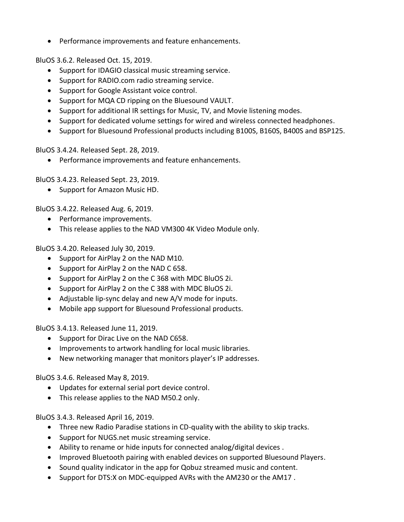• Performance improvements and feature enhancements.

BluOS 3.6.2. Released Oct. 15, 2019.

- Support for IDAGIO classical music streaming service.
- Support for RADIO.com radio streaming service.
- Support for Google Assistant voice control.
- Support for MQA CD ripping on the Bluesound VAULT.
- Support for additional IR settings for Music, TV, and Movie listening modes.
- Support for dedicated volume settings for wired and wireless connected headphones.
- Support for Bluesound Professional products including B100S, B160S, B400S and BSP125.

BluOS 3.4.24. Released Sept. 28, 2019.

• Performance improvements and feature enhancements.

BluOS 3.4.23. Released Sept. 23, 2019.

• Support for Amazon Music HD.

BluOS 3.4.22. Released Aug. 6, 2019.

- Performance improvements.
- This release applies to the NAD VM300 4K Video Module only.

BluOS 3.4.20. Released July 30, 2019.

- Support for AirPlay 2 on the NAD M10.
- Support for AirPlay 2 on the NAD C 658.
- Support for AirPlay 2 on the C 368 with MDC BluOS 2i.
- Support for AirPlay 2 on the C 388 with MDC BluOS 2i.
- Adjustable lip-sync delay and new A/V mode for inputs.
- Mobile app support for Bluesound Professional products.

BluOS 3.4.13. Released June 11, 2019.

- Support for Dirac Live on the NAD C658.
- Improvements to artwork handling for local music libraries.
- New networking manager that monitors player's IP addresses.

BluOS 3.4.6. Released May 8, 2019.

- Updates for external serial port device control.
- This release applies to the NAD M50.2 only.

BluOS 3.4.3. Released April 16, 2019.

- Three new Radio Paradise stations in CD-quality with the ability to skip tracks.
- Support for NUGS.net music streaming service.
- Ability to rename or hide inputs for connected analog/digital devices .
- Improved Bluetooth pairing with enabled devices on supported Bluesound Players.
- Sound quality indicator in the app for Qobuz streamed music and content.
- Support for DTS:X on MDC-equipped AVRs with the AM230 or the AM17 .